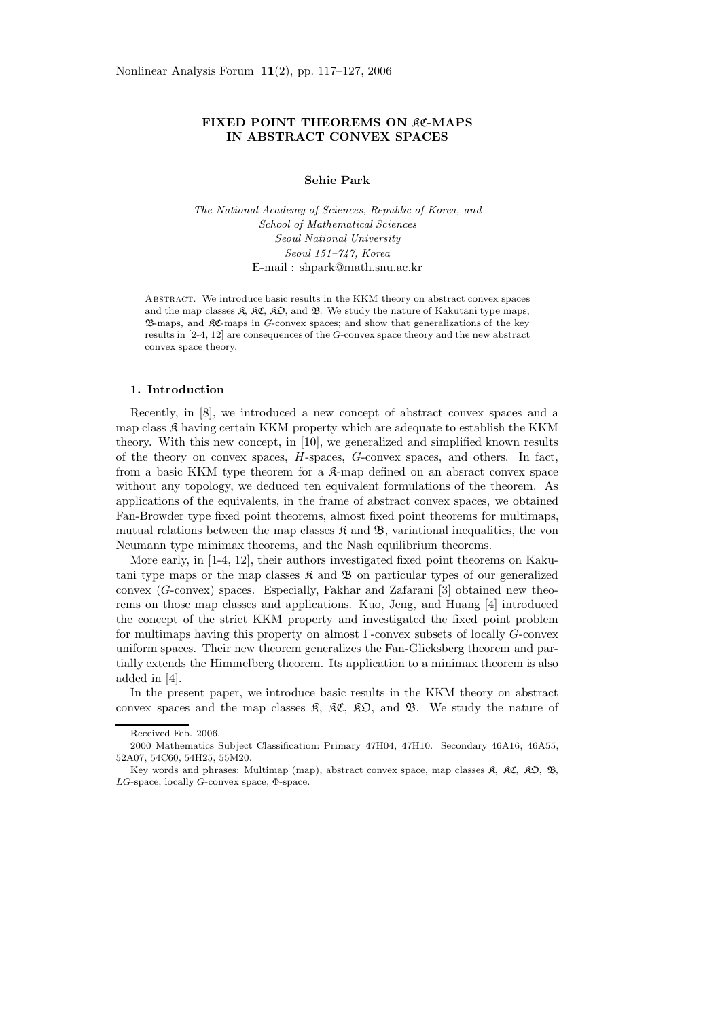# **FIXED POINT THEOREMS ON RC-MAPS IN ABSTRACT CONVEX SPACES**

# **Sehie Park**

*The National Academy of Sciences, Republic of Korea, and School of Mathematical Sciences Seoul National University Seoul 151–747, Korea* E-mail : shpark@math.snu.ac.kr

ABSTRACT. We introduce basic results in the KKM theory on abstract convex spaces and the map classes  $\mathfrak{K}$ ,  $\mathfrak{K}C$ ,  $\mathfrak{K}D$ , and  $\mathfrak{B}$ . We study the nature of Kakutani type maps, B-maps, and KC-maps in G-convex spaces; and show that generalizations of the key results in [2-4, 12] are consequences of the G-convex space theory and the new abstract convex space theory.

### **1. Introduction**

Recently, in [8], we introduced a new concept of abstract convex spaces and a map class  $\mathfrak K$  having certain KKM property which are adequate to establish the KKM theory. With this new concept, in [10], we generalized and simplified known results of the theory on convex spaces, *H*-spaces, *G*-convex spaces, and others. In fact, from a basic KKM type theorem for a  $\mathcal{R}-m$  defined on an absract convex space without any topology, we deduced ten equivalent formulations of the theorem. As applications of the equivalents, in the frame of abstract convex spaces, we obtained Fan-Browder type fixed point theorems, almost fixed point theorems for multimaps, mutual relations between the map classes  $\mathcal{R}$  and  $\mathcal{B}$ , variational inequalities, the von Neumann type minimax theorems, and the Nash equilibrium theorems.

More early, in [1-4, 12], their authors investigated fixed point theorems on Kakutani type maps or the map classes  $\mathfrak K$  and  $\mathfrak B$  on particular types of our generalized convex (*G*-convex) spaces. Especially, Fakhar and Zafarani [3] obtained new theorems on those map classes and applications. Kuo, Jeng, and Huang [4] introduced the concept of the strict KKM property and investigated the fixed point problem for multimaps having this property on almost Γ-convex subsets of locally *G*-convex uniform spaces. Their new theorem generalizes the Fan-Glicksberg theorem and partially extends the Himmelberg theorem. Its application to a minimax theorem is also added in [4].

In the present paper, we introduce basic results in the KKM theory on abstract convex spaces and the map classes  $\mathfrak{K}$ ,  $\mathfrak{K} \mathfrak{C}$ ,  $\mathfrak{K} \mathfrak{O}$ , and  $\mathfrak{B}$ . We study the nature of

Received Feb. 2006.

<sup>2000</sup> Mathematics Subject Classification: Primary 47H04, 47H10. Secondary 46A16, 46A55, 52A07, 54C60, 54H25, 55M20.

Key words and phrases: Multimap (map), abstract convex space, map classes  $\mathfrak{K}$ ,  $\mathfrak{K}C$ ,  $\mathfrak{K}D$ ,  $\mathfrak{B}$ , LG-space, locally G-convex space, Φ-space.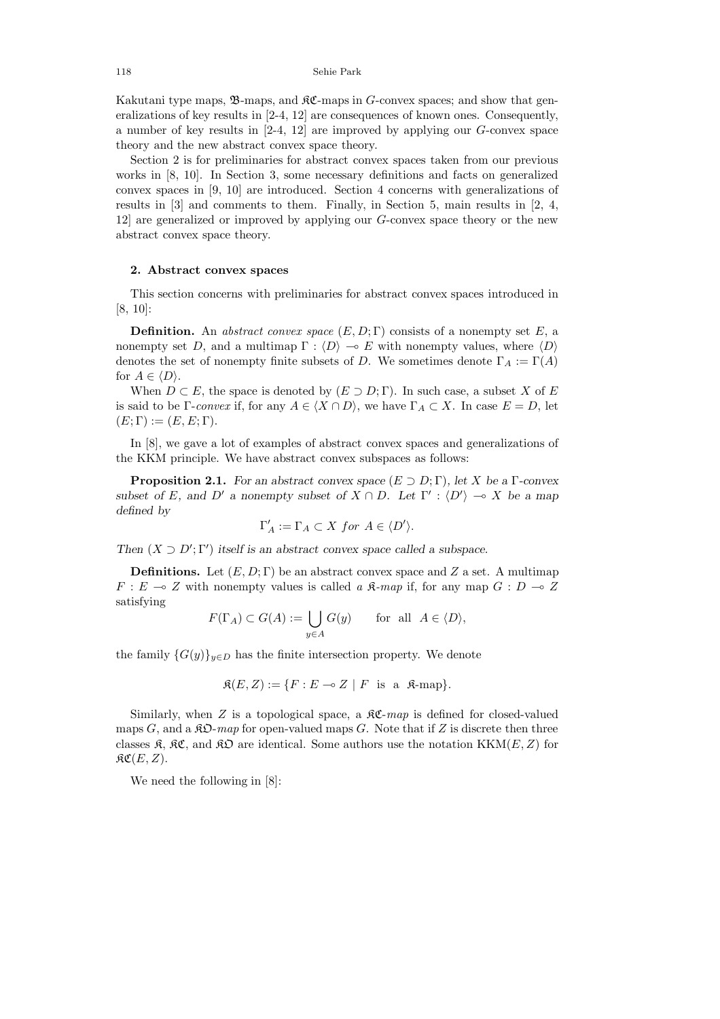118 Sehie Park

Kakutani type maps,  $\mathfrak{B}$ -maps, and  $\mathfrak{K}$ -maps in *G*-convex spaces; and show that generalizations of key results in [2-4, 12] are consequences of known ones. Consequently, a number of key results in [2-4, 12] are improved by applying our *G*-convex space theory and the new abstract convex space theory.

Section 2 is for preliminaries for abstract convex spaces taken from our previous works in [8, 10]. In Section 3, some necessary definitions and facts on generalized convex spaces in [9, 10] are introduced. Section 4 concerns with generalizations of results in  $[3]$  and comments to them. Finally, in Section 5, main results in  $[2, 4]$ , 12] are generalized or improved by applying our *G*-convex space theory or the new abstract convex space theory.

# **2. Abstract convex spaces**

This section concerns with preliminaries for abstract convex spaces introduced in [8, 10]:

**Definition.** An abstract convex space  $(E, D; \Gamma)$  consists of a nonempty set E, a nonempty set *D*, and a multimap  $\Gamma : \langle D \rangle \to E$  with nonempty values, where  $\langle D \rangle$ denotes the set of nonempty finite subsets of *D*. We sometimes denote  $\Gamma_A := \Gamma(A)$ for  $A \in \langle D \rangle$ .

When  $D \subset E$ , the space is denoted by  $(E \supset D; \Gamma)$ . In such case, a subset *X* of *E* is said to be Γ-convex if, for any  $A \in \langle X \cap D \rangle$ , we have  $\Gamma_A \subset X$ . In case  $E = D$ , let  $(E; \Gamma) := (E, E; \Gamma).$ 

In [8], we gave a lot of examples of abstract convex spaces and generalizations of the KKM principle. We have abstract convex subspaces as follows:

**Proposition 2.1.** *For an abstract convex space* (*E* ⊃ *D*; Γ)*, let X be a* Γ*-convex subset of E,* and *D*<sup>*'*</sup> *a* nonempty subset of  $X \cap D$ *.* Let  $\Gamma' : \langle D' \rangle \to X$  be a map *defined by*

$$
\Gamma'_A := \Gamma_A \subset X \text{ for } A \in \langle D' \rangle.
$$

*Then*  $(X \supset D'; \Gamma')$  *itself is an abstract convex space called a subspace.* 

**Definitions.** Let  $(E, D; \Gamma)$  be an abstract convex space and Z a set. A multimap  $F: E \to Z$  with nonempty values is called a  $\mathfrak{K}\text{-}map$  if, for any map  $G: D \to Z$ satisfying

$$
F(\Gamma_A) \subset G(A) := \bigcup_{y \in A} G(y) \quad \text{for all } A \in \langle D \rangle,
$$

the family  ${G(y)}_{y\in D}$  has the finite intersection property. We denote

$$
\mathfrak{K}(E, Z) := \{ F : E \multimap Z \mid F \text{ is a } \mathfrak{K}\text{-map} \}.
$$

Similarly, when  $Z$  is a topological space, a  $\Re\mathfrak{C}$ -map is defined for closed-valued maps *G*, and a  $\mathcal{R}D$ -map for open-valued maps *G*. Note that if *Z* is discrete then three classes  $\mathfrak{K}, \mathfrak{K}\mathfrak{C}$ , and  $\mathfrak{K}\mathfrak{D}$  are identical. Some authors use the notation KKM(*E*, *Z*) for  $\mathfrak{RC}(E,Z).$ 

We need the following in [8]: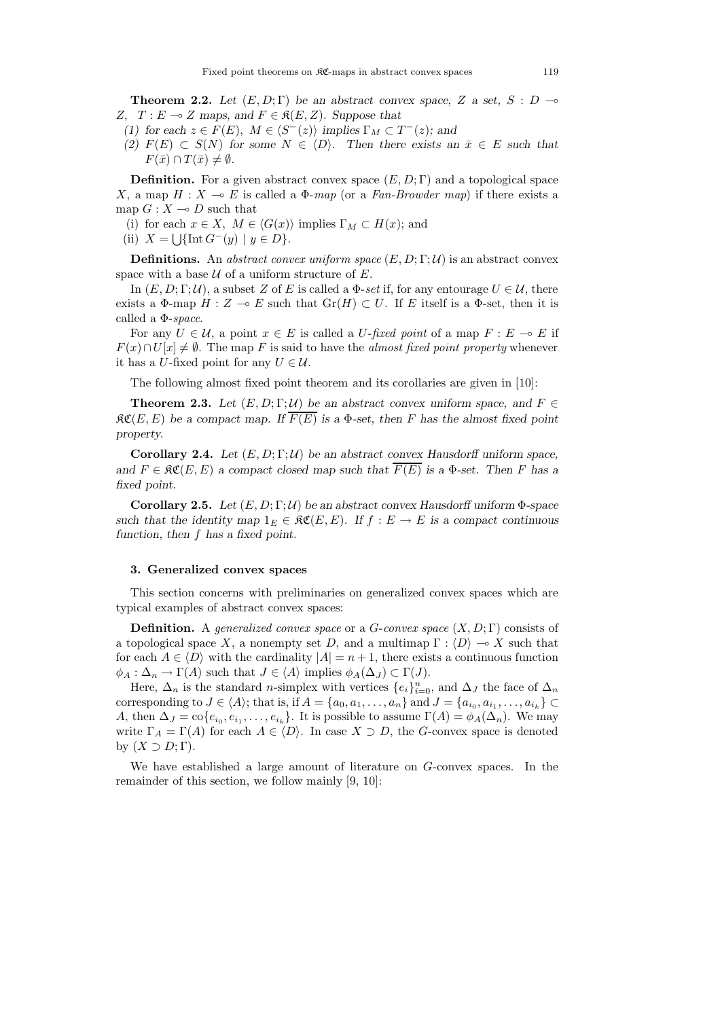**Theorem 2.2.** Let  $(E, D; \Gamma)$  be an abstract convex space, Z a set, S : D  $\rightarrow$ *Z,*  $T$  *: E* → *Z* maps, and  $F \in \mathfrak{K}(E, Z)$ *. Suppose that* 

- *(1)* for each  $z \in F(E)$ ,  $M \in \langle S^{-}(z) \rangle$  implies  $\Gamma_M \subset T^{-}(z)$ ; and
- *(2)*  $F(E)$  ⊂ *S*(*N*) for some  $N \in \langle D \rangle$ . Then there exists an  $\bar{x} \in E$  such that  $F(\bar{x}) \cap T(\bar{x}) \neq \emptyset$ .

**Definition.** For a given abstract convex space  $(E, D; \Gamma)$  and a topological space *X*, a map  $H: X \to E$  is called a  $\Phi$ -map (or a Fan-Browder map) if there exists a map  $G: X \to D$  such that

- (i) for each  $x \in X$ ,  $M \in \langle G(x) \rangle$  implies  $\Gamma_M \subset H(x)$ ; and
- (ii)  $X = \left[ \int \left[ \text{Int } G^{-}(y) \mid y \in D \right] \right].$

**Definitions.** An abstract convex uniform space  $(E, D; \Gamma; \mathcal{U})$  is an abstract convex space with a base  $U$  of a uniform structure of  $E$ .

In  $(E, D; \Gamma; \mathcal{U})$ , a subset *Z* of *E* is called a  $\Phi$ -set if, for any entourage  $U \in \mathcal{U}$ , there exists a  $\Phi$ -map  $H : Z \to E$  such that  $\text{Gr}(H) \subset U$ . If *E* itself is a  $\Phi$ -set, then it is called a  $\Phi$ -space.

For any  $U \in \mathcal{U}$ , a point  $x \in E$  is called a *U*-fixed point of a map  $F : E \multimap E$  if  $F(x) \cap U[x] \neq \emptyset$ . The map *F* is said to have the *almost fixed point property* whenever it has a *U*-fixed point for any  $U \in \mathcal{U}$ .

The following almost fixed point theorem and its corollaries are given in [10]:

**Theorem 2.3.** Let  $(E, D; \Gamma; \mathcal{U})$  be an abstract convex uniform space, and  $F \in$  $R\mathfrak{C}(E,E)$  be a compact map. If  $\overline{F(E)}$  is a  $\Phi$ -set, then F has the almost fixed point *property.*

**Corollary 2.4.** *Let*  $(E, D; \Gamma; \mathcal{U})$  *be an abstract convex Hausdorff uniform space, and*  $F \in \mathfrak{RC}(E, E)$  *a compact closed map such that*  $F(E)$  *is a*  $\Phi$ -set. Then *F* has a *fixed point.*

**Corollary 2.5.** *Let* (*E,D*; Γ; U) *be an abstract convex Hausdorff uniform* Φ*-space such that the identity map*  $1_E \in \Re\mathfrak{C}(E,E)$ *. If*  $f : E \to E$  *is a compact continuous function, then f has a fixed point.*

#### **3. Generalized convex spaces**

This section concerns with preliminaries on generalized convex spaces which are typical examples of abstract convex spaces:

**Definition.** A generalized convex space or a *G*-convex space  $(X, D; \Gamma)$  consists of a topological space *X*, a nonempty set *D*, and a multimap  $\Gamma : \langle D \rangle \to X$  such that for each  $A \in \langle D \rangle$  with the cardinality  $|A| = n + 1$ , there exists a continuous function  $\phi_A : \Delta_n \to \Gamma(A)$  such that  $J \in \langle A \rangle$  implies  $\phi_A(\Delta_J) \subset \Gamma(J)$ .

Here,  $\Delta_n$  is the standard *n*-simplex with vertices  $\{e_i\}_{i=0}^n$ , and  $\Delta_J$  the face of  $\Delta_n$ corresponding to  $J \in \langle A \rangle$ ; that is, if  $A = \{a_0, a_1, \ldots, a_n\}$  and  $J = \{a_{i_0}, a_{i_1}, \ldots, a_{i_k}\}$ *A*, then  $\Delta J = \text{co}\{e_{i_0}, e_{i_1}, \ldots, e_{i_k}\}$ . It is possible to assume  $\Gamma(A) = \phi_A(\Delta_n)$ . We may write  $\Gamma_A = \Gamma(A)$  for each  $A \in \langle D \rangle$ . In case  $X \supset D$ , the *G*-convex space is denoted by  $(X \supset D; \Gamma)$ .

We have established a large amount of literature on *G*-convex spaces. In the remainder of this section, we follow mainly [9, 10]: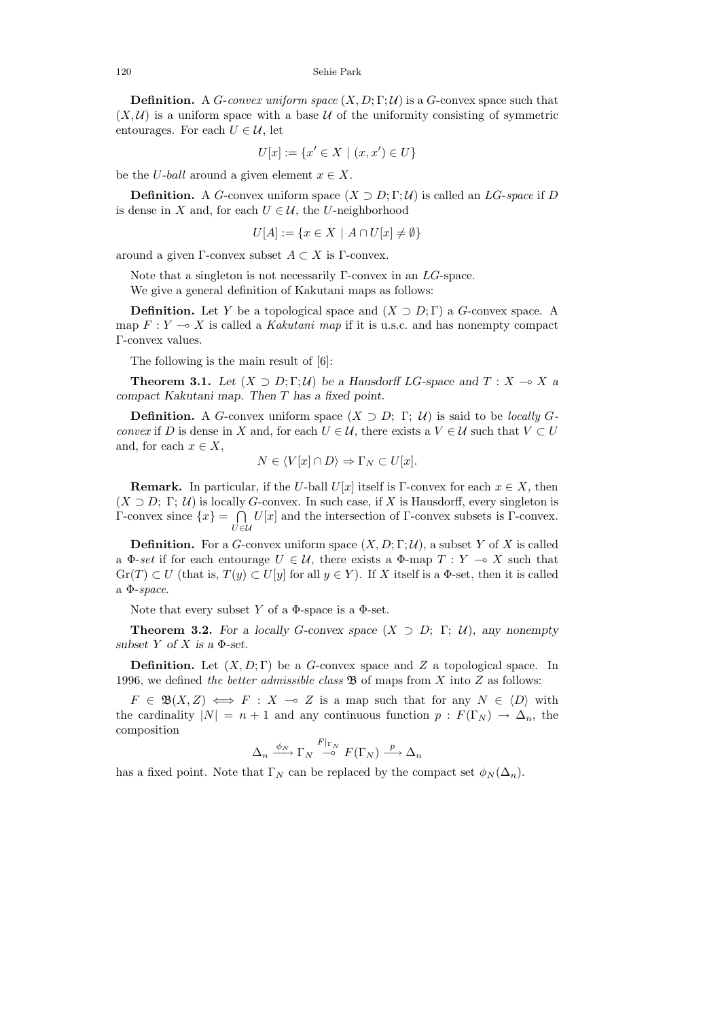**Definition.** A *G*-convex uniform space  $(X, D; \Gamma; \mathcal{U})$  is a *G*-convex space such that  $(X, \mathcal{U})$  is a uniform space with a base  $\mathcal{U}$  of the uniformity consisting of symmetric entourages. For each  $U \in \mathcal{U}$ , let

$$
U[x] := \{ x' \in X \mid (x, x') \in U \}
$$

be the *U*-*ball* around a given element  $x \in X$ .

**Definition.** A *G*-convex uniform space  $(X \supset D; \Gamma; \mathcal{U})$  is called an *LG-space* if *D* is dense in *X* and, for each  $U \in \mathcal{U}$ , the *U*-neighborhood

$$
U[A] := \{ x \in X \mid A \cap U[x] \neq \emptyset \}
$$

around a given  $\Gamma$ -convex subset  $A \subset X$  is  $\Gamma$ -convex.

Note that a singleton is not necessarily Γ-convex in an *LG*-space. We give a general definition of Kakutani maps as follows:

**Definition.** Let *Y* be a topological space and  $(X \supset D; \Gamma)$  a *G*-convex space. A map  $F: Y \longrightarrow X$  is called a *Kakutani map* if it is u.s.c. and has nonempty compact Γ-convex values.

The following is the main result of [6]:

**Theorem 3.1.** *Let*  $(X \supset D; \Gamma; \mathcal{U})$  *be a Hausdorff LG*-space and  $T : X \to X$  *a compact Kakutani map. Then T has a fixed point.*

**Definition.** A *G*-convex uniform space  $(X \supset D; \Gamma; \mathcal{U})$  is said to be *locally G*convex if *D* is dense in *X* and, for each  $U \in \mathcal{U}$ , there exists a  $V \in \mathcal{U}$  such that  $V \subset U$ and, for each  $x \in X$ ,

$$
N \in \langle V[x] \cap D \rangle \Rightarrow \Gamma_N \subset U[x].
$$

**Remark.** In particular, if the *U*-ball *U*[*x*] itself is Γ-convex for each  $x \in X$ , then  $(X \supset D; \Gamma; U)$  is locally *G*-convex. In such case, if X is Hausdorff, every singleton is  $\Gamma$ -convex since  $\{x\} = \bigcap$ *U*∈U  $U[x]$  and the intersection of Γ-convex subsets is Γ-convex.

**Definition.** For a *G*-convex uniform space  $(X, D; \Gamma; \mathcal{U})$ , a subset *Y* of *X* is called a  $\Phi$ -set if for each entourage  $U \in \mathcal{U}$ , there exists a  $\Phi$ -map  $T : Y \to X$  such that  $\text{Gr}(T) \subset U$  (that is,  $T(y) \subset U[y]$  for all  $y \in Y$ ). If X itself is a  $\Phi$ -set, then it is called a  $\Phi$ -space.

Note that every subset *Y* of a  $\Phi$ -space is a  $\Phi$ -set.

**Theorem 3.2.** For a locally *G*-convex space  $(X \supset D; \Gamma; U)$ *, any nonempty subset*  $Y$  *of*  $X$  *is a*  $\Phi$ *-set.* 

**Definition.** Let (*X, D*; Γ) be a *G*-convex space and *Z* a topological space. In 1996, we defined the better admissible class B of maps from *X* into *Z* as follows:

 $F \in \mathfrak{B}(X,Z) \iff F : X \multimap Z$  is a map such that for any  $N \in \langle D \rangle$  with the cardinality  $|N| = n + 1$  and any continuous function  $p : F(\Gamma_N) \to \Delta_n$ , the composition

$$
\Delta_n \xrightarrow{\phi_N} \Gamma_N \xrightarrow{F|_{\Gamma_N}} F(\Gamma_N) \xrightarrow{p} \Delta_n
$$

has a fixed point. Note that  $\Gamma_N$  can be replaced by the compact set  $\phi_N(\Delta_n)$ .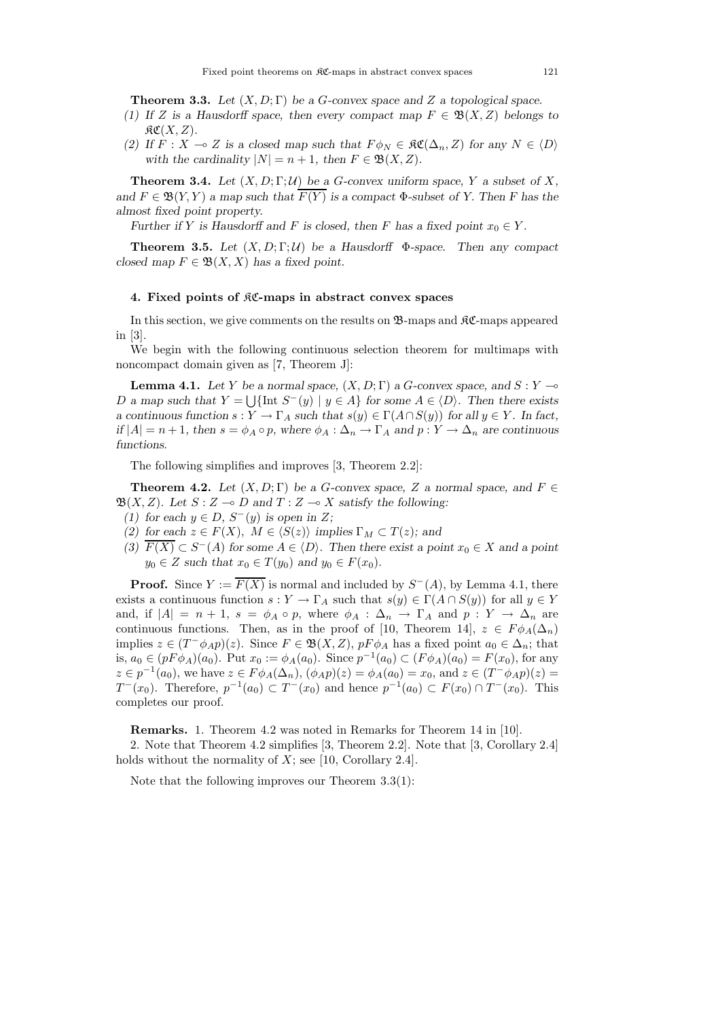**Theorem 3.3.** *Let* (*X, D*; Γ) *be a G-convex space and Z a topological space.*

- *(1) If Z* is a Hausdorff space, then every compact map  $F \in \mathfrak{B}(X, Z)$  belongs to  $R\mathfrak{C}(X,Z)$ .
- *(2)* If  $F : X \to Z$  is a closed map such that  $F \phi_N \in \mathfrak{RC}(\Delta_n, Z)$  for any  $N \in \langle D \rangle$ *with the cardinality*  $|N| = n + 1$ *, then*  $F \in \mathfrak{B}(X, Z)$ *.*

**Theorem 3.4.** *Let*  $(X, D; \Gamma; \mathcal{U})$  *be a G*-convex uniform space, *Y a subset of X, and*  $F \in \mathfrak{B}(Y, Y)$  *a map such that*  $\overline{F(Y)}$  *is a compact*  $\Phi$ *-subset of Y. Then F* has the *almost fixed point property.*

*Further if Y is Hausdorff and F is closed, then F has a fixed point*  $x_0 \in Y$ .

**Theorem 3.5.** Let  $(X, D; \Gamma; \mathcal{U})$  be a Hausdorff  $\Phi$ -space. Then any compact *closed map*  $F \in \mathfrak{B}(X, X)$  *has a fixed point.* 

### **4. Fixed points of** KC**-maps in abstract convex spaces**

In this section, we give comments on the results on  $\mathfrak{B}$ -maps and  $\mathfrak{K}$ -maps appeared in [3].

We begin with the following continuous selection theorem for multimaps with noncompact domain given as [7, Theorem J]:

**Lemma 4.1.** Let Y be a normal space,  $(X, D; \Gamma)$  a *G*-convex space, and  $S: Y \rightarrow$ *D a* map such that  $Y = \bigcup \{ \text{Int } S^-(y) \mid y \in A \}$  for some  $A \in \langle D \rangle$ . Then there exists *a continuous function*  $s: Y \to \Gamma_A$  *such that*  $s(y) \in \Gamma(A \cap S(y))$  *for all*  $y \in Y$ *. In fact,*  $if |A| = n + 1$ , then  $s = \phi_A \circ p$ , where  $\phi_A : \Delta_n \to \Gamma_A$  and  $p : Y \to \Delta_n$  are continuous *functions.*

The following simplifies and improves [3, Theorem 2.2]:

**Theorem 4.2.** Let  $(X, D; \Gamma)$  be a *G*-convex space, *Z* a normal space, and  $F \in$  $\mathfrak{B}(X, Z)$ *. Let*  $S: Z \to D$  and  $T: Z \to X$  satisfy the following:

- *(1)* for each  $y \text{ ∈ } D$ ,  $S^{-}(y)$  is open in  $Z$ ;
- *(2)* for each  $z \in F(X)$ ,  $M \in \langle S(z) \rangle$  implies  $\Gamma_M \subset T(z)$ ; and
- $(3)$   $\overline{F(X)} \subset S^{-}(A)$  for some  $A \in \langle D \rangle$ . Then there exist a point  $x_0 \in X$  and a point  $y_0 \in Z$  *such that*  $x_0 \in T(y_0)$  *and*  $y_0 \in F(x_0)$ *.*

**Proof.** Since  $Y := \overline{F(X)}$  is normal and included by  $S^{-}(A)$ , by Lemma 4.1, there exists a continuous function  $s: Y \to \Gamma_A$  such that  $s(y) \in \Gamma(A \cap S(y))$  for all  $y \in Y$ and, if  $|A| = n + 1$ ,  $s = \phi_A \circ p$ , where  $\phi_A : \Delta_n \to \Gamma_A$  and  $p : Y \to \Delta_n$  are continuous functions. Then, as in the proof of [10, Theorem 14],  $z \in F \phi_A(\Delta_n)$ implies  $z \in (T^- \phi_{A} p)(z)$ . Since  $F \in \mathfrak{B}(X, Z)$ ,  $p F \phi_A$  has a fixed point  $a_0 \in \Delta_n$ ; that is,  $a_0 \in (pF\phi_A)(a_0)$ . Put  $x_0 := \phi_A(a_0)$ . Since  $p^{-1}(a_0) \subset (F\phi_A)(a_0) = F(x_0)$ , for any  $z \in p^{-1}(a_0)$ , we have  $z \in F \phi_A(\Delta_n)$ ,  $(\phi_A p)(z) = \phi_A(a_0) = x_0$ , and  $z \in (T^- \phi_A p)(z) =$ *T* <sup>−</sup>(*x*<sub>0</sub>). Therefore,  $p^{-1}(a_0)$  ⊂ *T* −(*x*<sub>0</sub>) and hence  $p^{-1}(a_0)$  ⊂ *F*(*x*<sub>0</sub>) ∩ *T* − (*x*<sub>0</sub>). This completes our proof.

**Remarks.** 1. Theorem 4.2 was noted in Remarks for Theorem 14 in [10].

2. Note that Theorem 4.2 simplifies [3, Theorem 2.2]. Note that [3, Corollary 2.4] holds without the normality of *X*; see [10, Corollary 2.4].

Note that the following improves our Theorem 3.3(1):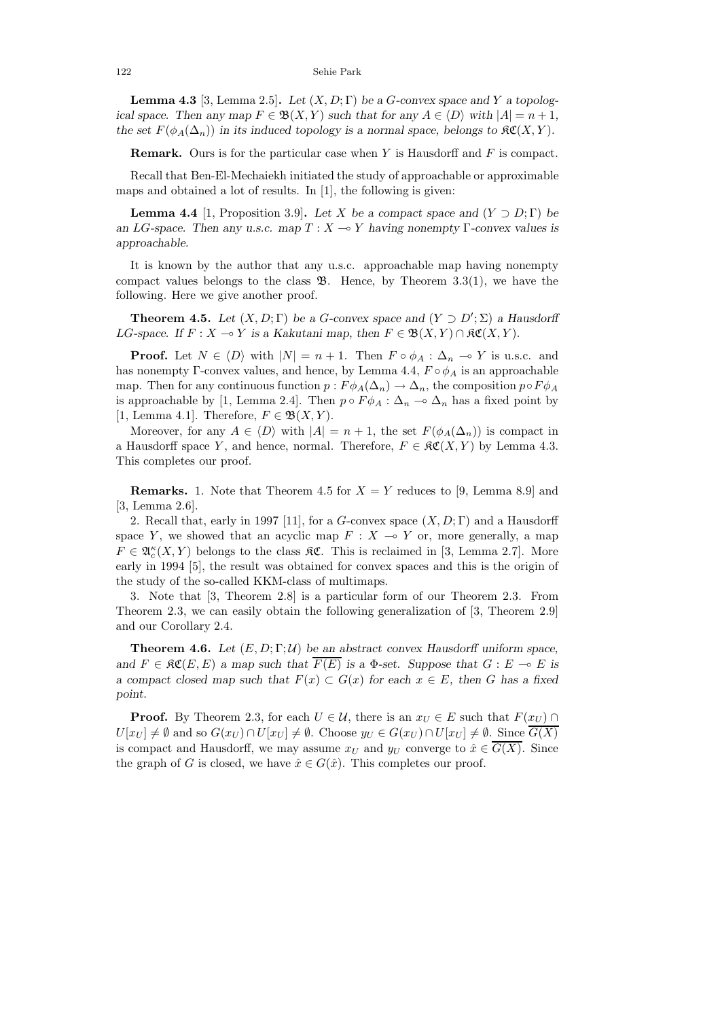122 Sehie Park

**Lemma 4.3** [3, Lemma 2.5]. Let  $(X, D; \Gamma)$  be a *G*-convex space and *Y* a topolog*ical space. Then any map*  $F \in \mathfrak{B}(X, Y)$  *such that for any*  $A \in \langle D \rangle$  *with*  $|A| = n + 1$ *, the set*  $F(\phi_A(\Delta_n))$  *in its induced topology is a normal space, belongs to*  $\mathfrak{K}(X, Y)$ *.* 

**Remark.** Ours is for the particular case when *Y* is Hausdorff and *F* is compact.

Recall that Ben-El-Mechaiekh initiated the study of approachable or approximable maps and obtained a lot of results. In [1], the following is given:

**Lemma 4.4** [1, Proposition 3.9]. *Let X be a compact space and*  $(Y \supset D; \Gamma)$  *be an LG*-space. Then any u.s.c. map  $T : X \rightarrow Y$  having nonempty Γ-convex values is *approachable.*

It is known by the author that any u.s.c. approachable map having nonempty compact values belongs to the class  $\mathfrak{B}$ . Hence, by Theorem 3.3(1), we have the following. Here we give another proof.

**Theorem 4.5.** *Let*  $(X, D; \Gamma)$  *be a G*-convex space and  $(Y \supset D'; \Sigma)$  *a Hausdorff LG*-space. If  $F : X \to Y$  is a Kakutani map, then  $F \in \mathfrak{B}(X, Y) \cap \mathfrak{K}\mathfrak{C}(X, Y)$ .

**Proof.** Let  $N \in \langle D \rangle$  with  $|N| = n + 1$ . Then  $F \circ \phi_A : \Delta_n \to Y$  is u.s.c. and has nonempty Γ-convex values, and hence, by Lemma 4.4,  $F \circ \phi_A$  is an approachable map. Then for any continuous function  $p : F \phi_A(\Delta_n) \to \Delta_n$ , the composition  $p \circ F \phi_A$ is approachable by [1, Lemma 2.4]. Then  $p \circ F \phi_A : \Delta_n \to \Delta_n$  has a fixed point by [1, Lemma 4.1]. Therefore,  $F \in \mathfrak{B}(X,Y)$ .

Moreover, for any  $A \in \langle D \rangle$  with  $|A| = n + 1$ , the set  $F(\phi_A(\Delta_n))$  is compact in a Hausdorff space *Y*, and hence, normal. Therefore,  $F \in \mathfrak{RC}(X, Y)$  by Lemma 4.3. This completes our proof.

**Remarks.** 1. Note that Theorem 4.5 for  $X = Y$  reduces to [9, Lemma 8.9] and [3, Lemma 2.6].

2. Recall that, early in 1997 [11], for a *G*-convex space (*X, D*; Γ) and a Hausdorff space *Y*, we showed that an acyclic map  $F: X \to Y$  or, more generally, a map  $F \in \mathfrak{A}_{c}^{\kappa}(X, Y)$  belongs to the class  $\mathfrak{K} \mathfrak{C}$ . This is reclaimed in [3, Lemma 2.7]. More early in 1994 [5], the result was obtained for convex spaces and this is the origin of the study of the so-called KKM-class of multimaps.

3. Note that [3, Theorem 2.8] is a particular form of our Theorem 2.3. From Theorem 2.3, we can easily obtain the following generalization of [3, Theorem 2.9] and our Corollary 2.4.

**Theorem 4.6.** *Let* (*E,D*; Γ; U) *be an abstract convex Hausdorff uniform space, and*  $F \in \mathfrak{RC}(E, E)$  *a map such that*  $\overline{F(E)}$  *is a*  $\Phi$ -set. Suppose that  $G : E \multimap E$  *is a compact closed map such that*  $F(x) \subset G(x)$  *for each*  $x \in E$ *, then G has a fixed point.*

**Proof.** By Theorem 2.3, for each  $U \in \mathcal{U}$ , there is an  $x_U \in E$  such that  $F(x_U) \cap$  $U[x_U] \neq \emptyset$  and so  $G(x_U) \cap U[x_U] \neq \emptyset$ . Choose  $y_U \in G(x_U) \cap U[x_U] \neq \emptyset$ . Since  $G(X)$ is compact and Hausdorff, we may assume  $x_U$  and  $y_U$  converge to  $\hat{x} \in \overline{G(X)}$ . Since the graph of *G* is closed, we have  $\hat{x} \in G(\hat{x})$ . This completes our proof.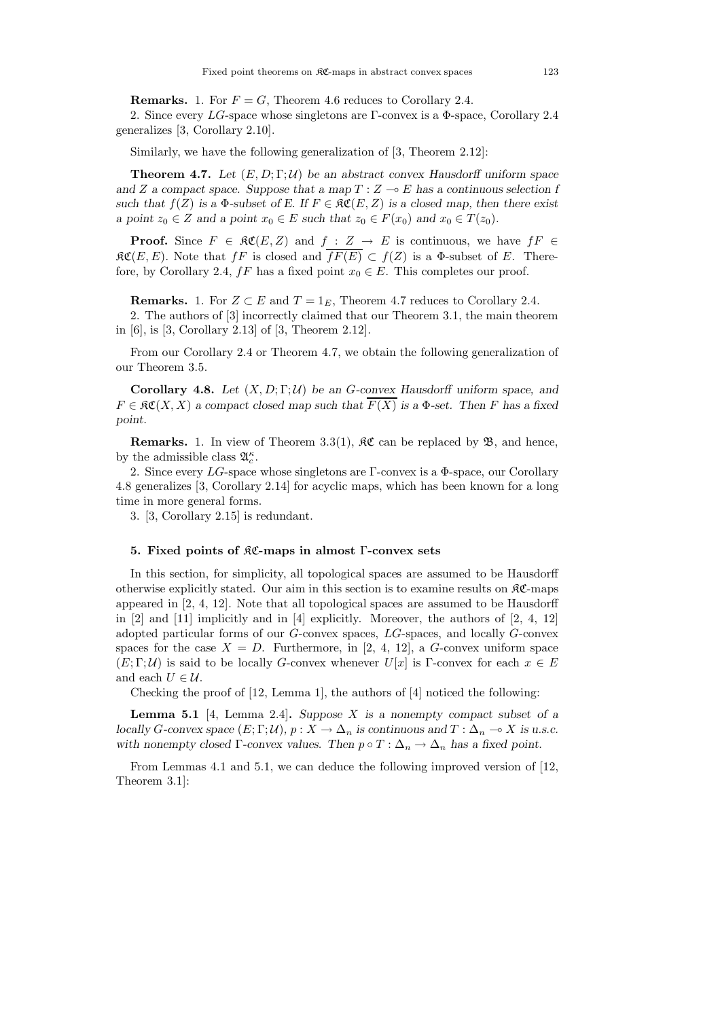**Remarks.** 1. For  $F = G$ , Theorem 4.6 reduces to Corollary 2.4.

2. Since every *LG*-space whose singletons are Γ-convex is a Φ-space, Corollary 2.4 generalizes [3, Corollary 2.10].

Similarly, we have the following generalization of [3, Theorem 2.12]:

**Theorem 4.7.** Let  $(E, D; \Gamma; \mathcal{U})$  be an abstract convex Hausdorff uniform space and *Z* a compact space. Suppose that a map  $T : Z \rightarrow E$  has a continuous selection f *such that*  $f(Z)$  *is a*  $\Phi$ *-subset of E. If*  $F \in \mathcal{RC}(E, Z)$  *is a closed map, then there exist a* point  $z_0 \in Z$  *and a point*  $x_0 \in E$  *such that*  $z_0 \in F(x_0)$  *and*  $x_0 \in T(z_0)$ *.* 

**Proof.** Since  $F \in \mathfrak{RC}(E, Z)$  and  $f : Z \to E$  is continuous, we have  $fF \in$  $R\mathfrak{C}(E,E)$ . Note that  $fF$  is closed and  $\overline{fF(E)} \subset f(Z)$  is a  $\Phi$ -subset of *E*. Therefore, by Corollary 2.4,  $fF$  has a fixed point  $x_0 \in E$ . This completes our proof.

**Remarks.** 1. For  $Z \subset E$  and  $T = 1_E$ , Theorem 4.7 reduces to Corollary 2.4.

2. The authors of [3] incorrectly claimed that our Theorem 3.1, the main theorem in [6], is [3, Corollary 2.13] of [3, Theorem 2.12].

From our Corollary 2.4 or Theorem 4.7, we obtain the following generalization of our Theorem 3.5.

**Corollary 4.8.** *Let* (*X, D*; Γ; U) *be an G-convex Hausdorff uniform space, and*  $F \in \mathfrak{RC}(X,X)$  *a compact closed map such that*  $\overline{F(X)}$  *is a*  $\Phi$ -set. Then *F* has a fixed *point.*

**Remarks.** 1. In view of Theorem 3.3(1),  $\mathfrak{K}\mathfrak{C}$  can be replaced by  $\mathfrak{B}$ , and hence, by the admissible class  $\mathfrak{A}_{c}^{\kappa}$ .

2. Since every *LG*-space whose singletons are Γ-convex is a Φ-space, our Corollary 4.8 generalizes [3, Corollary 2.14] for acyclic maps, which has been known for a long time in more general forms.

3. [3, Corollary 2.15] is redundant.

### **5. Fixed points of** KC**-maps in almost** Γ**-convex sets**

In this section, for simplicity, all topological spaces are assumed to be Hausdorff otherwise explicitly stated. Our aim in this section is to examine results on KC-maps appeared in [2, 4, 12]. Note that all topological spaces are assumed to be Hausdorff in [2] and [11] implicitly and in [4] explicitly. Moreover, the authors of [2, 4, 12] adopted particular forms of our *G*-convex spaces, *LG*-spaces, and locally *G*-convex spaces for the case  $X = D$ . Furthermore, in [2, 4, 12], a *G*-convex uniform space  $(E;\Gamma;\mathcal{U})$  is said to be locally *G*-convex whenever  $U[x]$  is Γ-convex for each  $x \in E$ and each  $U \in \mathcal{U}$ .

Checking the proof of [12, Lemma 1], the authors of [4] noticed the following:

**Lemma 5.1** [4, Lemma 2.4]**.** *Suppose X is a nonempty compact subset of a locally G*-convex space  $(E; \Gamma; \mathcal{U})$ *,*  $p: X \to \Delta_n$  is continuous and  $T: \Delta_n \to X$  is u.s.c. *with nonempty closed* Γ-convex values. Then  $p \circ T : \Delta_n \to \Delta_n$  has a fixed point.

From Lemmas 4.1 and 5.1, we can deduce the following improved version of [12, Theorem 3.1]: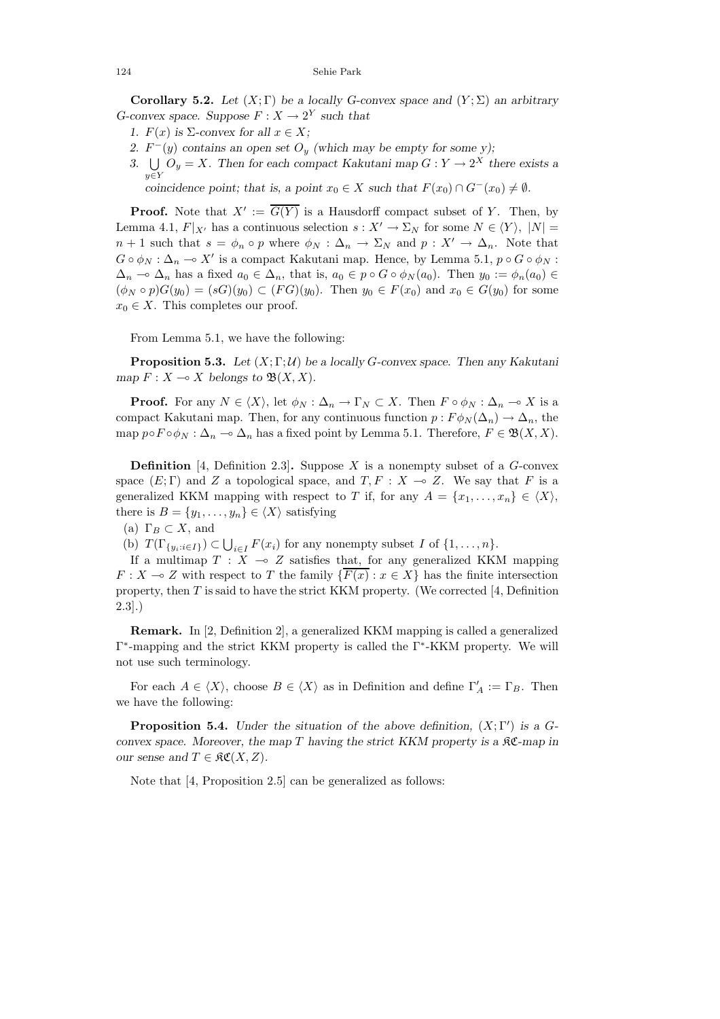124 Sehie Park

**Corollary 5.2.** *Let*  $(X; \Gamma)$  *be a locally G-convex space and*  $(Y; \Sigma)$  *an arbitrary G*-convex space. Suppose  $F: X \to 2^Y$  such that

- *1.*  $F(x)$  *is*  $\Sigma$ -convex for all  $x \in X$ ;
- *2.*  $F^-(y)$  contains an open set  $O_y$  (which may be empty for some y);
- 3.  $\bigcup \overline{O}_y = X$ . Then for each compact Kakutani map  $G: Y \to 2^X$  there exists a *y*∈*Y*

*coincidence point; that is, a point*  $x_0 \in X$  *such that*  $F(x_0) \cap G^-(x_0) \neq \emptyset$ *.* 

**Proof.** Note that  $X' := \overline{G(Y)}$  is a Hausdorff compact subset of *Y*. Then, by Lemma 4.1,  $F|_{X'}$  has a continuous selection  $s: X' \to \Sigma_N$  for some  $N \in \langle Y \rangle$ ,  $|N| =$ *n* + 1 such that  $s = \phi_n \circ p$  where  $\phi_N : \Delta_n \to \Sigma_N$  and  $p : X' \to \Delta_n$ . Note that  $G \circ \phi_N : \Delta_n \to X'$  is a compact Kakutani map. Hence, by Lemma 5.1,  $p \circ G \circ \phi_N$ :  $\Delta_n$  →  $\Delta_n$  has a fixed  $a_0 \in \Delta_n$ , that is,  $a_0 \in p \circ G \circ \phi_N(a_0)$ . Then  $y_0 := \phi_n(a_0) \in$  $(\phi_N \circ p)G(y_0) = (sG)(y_0) \subset (FG)(y_0)$ . Then  $y_0 \in F(x_0)$  and  $x_0 \in G(y_0)$  for some  $x_0 \in X$ . This completes our proof.

From Lemma 5.1, we have the following:

**Proposition 5.3.** *Let* (*X*; Γ; U) *be a locally G-convex space. Then any Kakutani map*  $F: X \to X$  *belongs to*  $\mathfrak{B}(X, X)$ *.* 

**Proof.** For any  $N \in \langle X \rangle$ , let  $\phi_N : \Delta_n \to \Gamma_N \subset X$ . Then  $F \circ \phi_N : \Delta_n \to X$  is a compact Kakutani map. Then, for any continuous function  $p: F\phi_N(\Delta_n) \to \Delta_n$ , the map  $p \circ F \circ \phi_N : \Delta_n \to \Delta_n$  has a fixed point by Lemma 5.1. Therefore,  $F \in \mathfrak{B}(X,X)$ .

**Definition** [4, Definition 2.3]**.** Suppose *X* is a nonempty subset of a *G*-convex space  $(E; \Gamma)$  and Z a topological space, and  $T, F : X \to Z$ . We say that F is a generalized KKM mapping with respect to *T* if, for any  $A = \{x_1, \ldots, x_n\} \in \langle X \rangle$ , there is  $B = \{y_1, \ldots, y_n\} \in \langle X \rangle$  satisfying

(a)  $\Gamma_B \subset X$ , and

(b)  $T(\Gamma_{\{y_i:i\in I\}}) \subset \bigcup_{i\in I} F(x_i)$  for any nonempty subset *I* of  $\{1,\ldots,n\}.$ 

If a multimap  $T : X \to Z$  satisfies that, for any generalized KKM mapping *F* : *X*  $\sim$  *Z* with respect to *T* the family { $\overline{F(x)}$  :  $x \in X$ } has the finite intersection property, then *T* is said to have the strict KKM property. (We corrected [4, Definition 2.3].)

**Remark.** In [2, Definition 2], a generalized KKM mapping is called a generalized Γ<sup>∗</sup>-mapping and the strict KKM property is called the Γ<sup>∗</sup>-KKM property. We will not use such terminology.

For each  $A \in \langle X \rangle$ , choose  $B \in \langle X \rangle$  as in Definition and define  $\Gamma'_A := \Gamma_B$ . Then we have the following:

**Proposition 5.4.** *Under the situation of the above definition,*  $(X; \Gamma')$  *is a Gconvex space. Moreover, the map T having the strict KKM property is a* KC*-map in our sense and*  $T \in \mathfrak{RC}(X, Z)$ *.* 

Note that [4, Proposition 2.5] can be generalized as follows: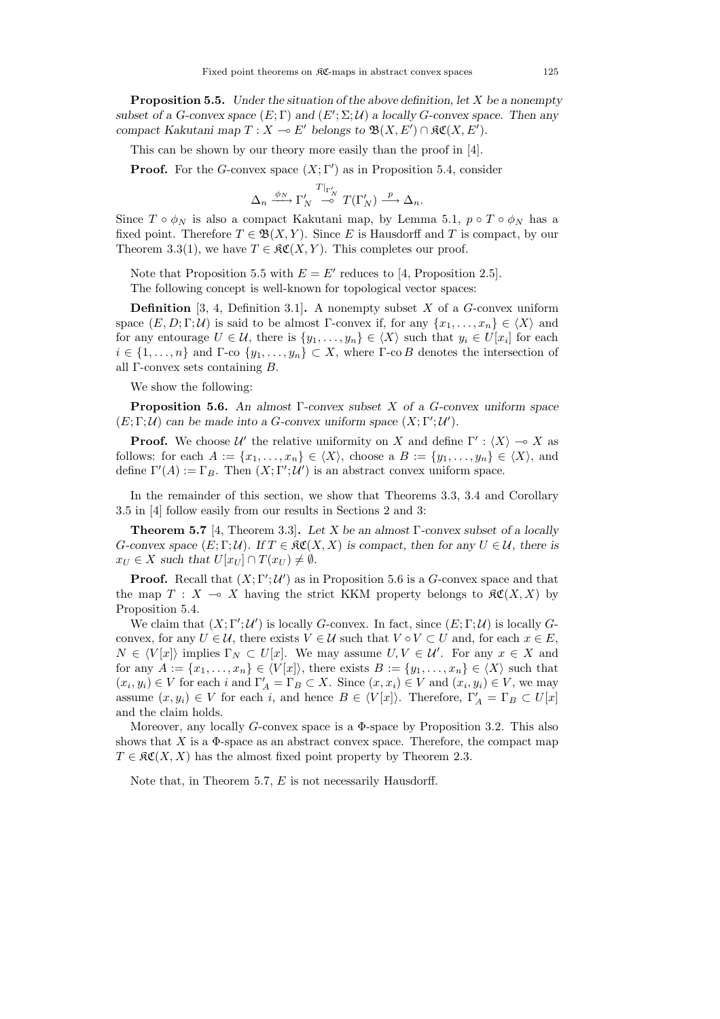**Proposition 5.5.** *Under the situation of the above definition, let X be a nonempty subset of a G-convex space*  $(E; \Gamma)$  *and*  $(E'; \Sigma; \mathcal{U})$  *a locally G-convex space. Then any compact Kakutani map*  $T : X \to E'$  *belongs to*  $\mathfrak{B}(X, E') \cap \mathfrak{K}(X, E').$ 

This can be shown by our theory more easily than the proof in [4].

**Proof.** For the *G*-convex space  $(X; \Gamma')$  as in Proposition 5.4, consider

$$
\Delta_n \xrightarrow{\phi_N} \Gamma'_N \xrightarrow{T|_{\Gamma'_N}} T(\Gamma'_N) \xrightarrow{p} \Delta_n.
$$

Since  $T \circ \phi_N$  is also a compact Kakutani map, by Lemma 5.1,  $p \circ T \circ \phi_N$  has a fixed point. Therefore  $T \in \mathfrak{B}(X, Y)$ . Since *E* is Hausdorff and *T* is compact, by our Theorem 3.3(1), we have  $T \in \mathfrak{RC}(X, Y)$ . This completes our proof.

Note that Proposition 5.5 with  $E = E'$  reduces to [4, Proposition 2.5]. The following concept is well-known for topological vector spaces:

**Definition** [3, 4, Definition 3.1]**.** A nonempty subset *X* of a *G*-convex uniform space  $(E, D; \Gamma; \mathcal{U})$  is said to be almost Γ-convex if, for any  $\{x_1, \ldots, x_n\} \in \langle X \rangle$  and for any entourage  $U \in \mathcal{U}$ , there is  $\{y_1, \ldots, y_n\} \in \langle X \rangle$  such that  $y_i \in U[x_i]$  for each  $i \in \{1, \ldots, n\}$  and  $\Gamma$ -co  $\{y_1, \ldots, y_n\} \subset X$ , where  $\Gamma$ -co *B* denotes the intersection of all Γ-convex sets containing *B*.

We show the following:

**Proposition 5.6.** *An almost* Γ*-convex subset X of a G-convex uniform space*  $(E; \Gamma; \mathcal{U})$  *can be made into a G*-convex uniform space  $(X; \Gamma'; \mathcal{U}').$ 

**Proof.** We choose  $\mathcal{U}'$  the relative uniformity on *X* and define  $\Gamma' : \langle X \rangle \to X$  as follows: for each  $A := \{x_1, \ldots, x_n\} \in \langle X \rangle$ , choose a  $B := \{y_1, \ldots, y_n\} \in \langle X \rangle$ , and define  $\Gamma'(A) := \Gamma_B$ . Then  $(X; \Gamma'; \mathcal{U}')$  is an abstract convex uniform space.

In the remainder of this section, we show that Theorems 3.3, 3.4 and Corollary 3.5 in [4] follow easily from our results in Sections 2 and 3:

**Theorem 5.7** [4, Theorem 3.3]**.** *Let X be an almost* Γ*-convex subset of a locally G*-convex space  $(E; \Gamma; \mathcal{U})$ *.* If  $T \in \mathfrak{RC}(X, X)$  is compact, then for any  $U \in \mathcal{U}$ , there is  $x_U \in X$  *such that*  $U[x_U] \cap T(x_U) \neq \emptyset$ *.* 

**Proof.** Recall that  $(X; \Gamma'; \mathcal{U}')$  as in Proposition 5.6 is a *G*-convex space and that the map  $T : X \to X$  having the strict KKM property belongs to  $\mathfrak{K}(X, X)$  by Proposition 5.4.

We claim that  $(X; \Gamma'; \mathcal{U}')$  is locally *G*-convex. In fact, since  $(E; \Gamma; \mathcal{U})$  is locally *G*convex, for any  $U \in \mathcal{U}$ , there exists  $V \in \mathcal{U}$  such that  $V \circ V \subset U$  and, for each  $x \in E$ ,  $N \in \langle V[x] \rangle$  implies  $\Gamma_N \subset U[x]$ . We may assume  $U, V \in \mathcal{U}'$ . For any  $x \in X$  and for any  $A := \{x_1, \ldots, x_n\} \in \langle V[x] \rangle$ , there exists  $B := \{y_1, \ldots, x_n\} \in \langle X \rangle$  such that  $(x_i, y_i) \in V$  for each *i* and  $\Gamma'_A = \Gamma_B \subset X$ . Since  $(x, x_i) \in V$  and  $(x_i, y_i) \in V$ , we may assume  $(x, y_i) \in V$  for each *i*, and hence  $B \in \langle V[x] \rangle$ . Therefore,  $\Gamma'_A = \Gamma_B \subset U[x]$ and the claim holds.

Moreover, any locally *G*-convex space is a Φ-space by Proposition 3.2. This also shows that  $X$  is a  $\Phi$ -space as an abstract convex space. Therefore, the compact map  $T \in \mathfrak{RC}(X,X)$  has the almost fixed point property by Theorem 2.3.

Note that, in Theorem 5.7, *E* is not necessarily Hausdorff.